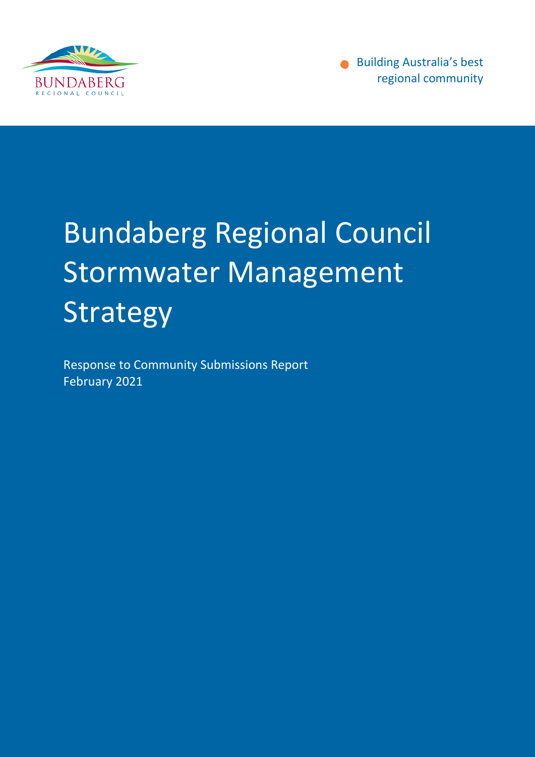

Building Australia's best regional community

## Bundaberg Regional Council Stormwater Management Strategy

Response to Community Submissions Report February 2021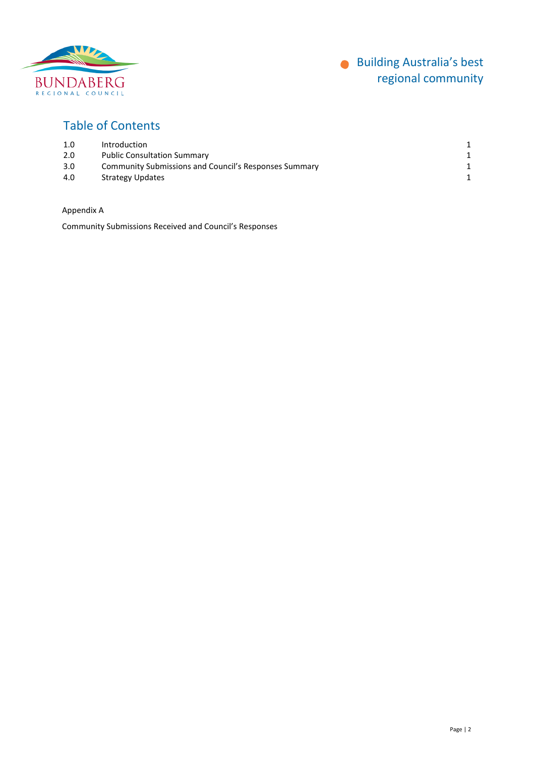

#### Table of Contents

| 1.0 | Introduction                                          |  |
|-----|-------------------------------------------------------|--|
| 2.0 | <b>Public Consultation Summary</b>                    |  |
| 3.0 | Community Submissions and Council's Responses Summary |  |
| 4.0 | <b>Strategy Updates</b>                               |  |

Appendix A

Community Submissions Received and Council's Responses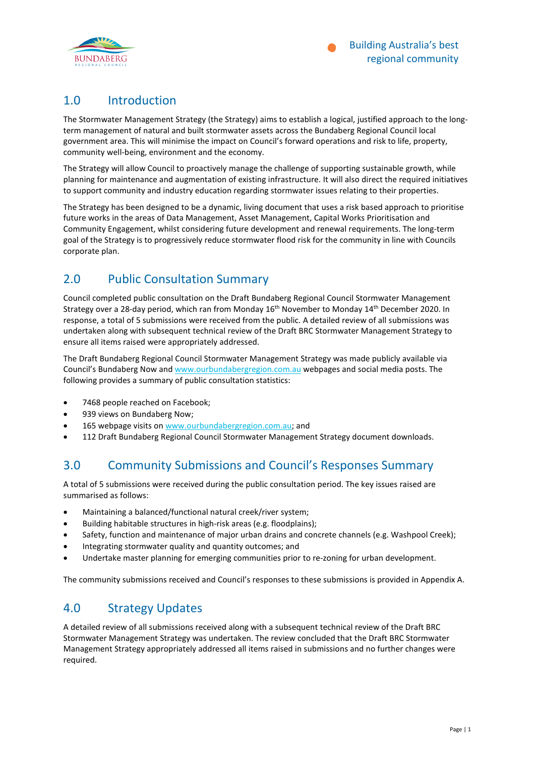

#### 1.0 Introduction

The Stormwater Management Strategy (the Strategy) aims to establish a logical, justified approach to the longterm management of natural and built stormwater assets across the Bundaberg Regional Council local government area. This will minimise the impact on Council's forward operations and risk to life, property, community well-being, environment and the economy.

The Strategy will allow Council to proactively manage the challenge of supporting sustainable growth, while planning for maintenance and augmentation of existing infrastructure. It will also direct the required initiatives to support community and industry education regarding stormwater issues relating to their properties.

The Strategy has been designed to be a dynamic, living document that uses a risk based approach to prioritise future works in the areas of Data Management, Asset Management, Capital Works Prioritisation and Community Engagement, whilst considering future development and renewal requirements. The long-term goal of the Strategy is to progressively reduce stormwater flood risk for the community in line with Councils corporate plan.

#### 2.0 Public Consultation Summary

Council completed public consultation on the Draft Bundaberg Regional Council Stormwater Management Strategy over a 28-day period, which ran from Monday 16<sup>th</sup> November to Monday 14<sup>th</sup> December 2020. In response, a total of 5 submissions were received from the public. A detailed review of all submissions was undertaken along with subsequent technical review of the Draft BRC Stormwater Management Strategy to ensure all items raised were appropriately addressed.

The Draft Bundaberg Regional Council Stormwater Management Strategy was made publicly available via Council's Bundaberg Now an[d www.ourbundabergregion.com.au](http://www.ourbundabergregion.com.au/) webpages and social media posts. The following provides a summary of public consultation statistics:

- 7468 people reached on Facebook;
- 939 views on Bundaberg Now;
- 165 webpage visits on [www.ourbundabergregion.com.au;](http://www.ourbundabergregion.com.au/) and
- 112 Draft Bundaberg Regional Council Stormwater Management Strategy document downloads.

#### 3.0 Community Submissions and Council's Responses Summary

A total of 5 submissions were received during the public consultation period. The key issues raised are summarised as follows:

- Maintaining a balanced/functional natural creek/river system;
- Building habitable structures in high-risk areas (e.g. floodplains);
- Safety, function and maintenance of major urban drains and concrete channels (e.g. Washpool Creek);
- Integrating stormwater quality and quantity outcomes; and
- Undertake master planning for emerging communities prior to re-zoning for urban development.

The community submissions received and Council's responses to these submissions is provided in [Appendix A.](#page-3-0)

#### 4.0 Strategy Updates

A detailed review of all submissions received along with a subsequent technical review of the Draft BRC Stormwater Management Strategy was undertaken. The review concluded that the Draft BRC Stormwater Management Strategy appropriately addressed all items raised in submissions and no further changes were required.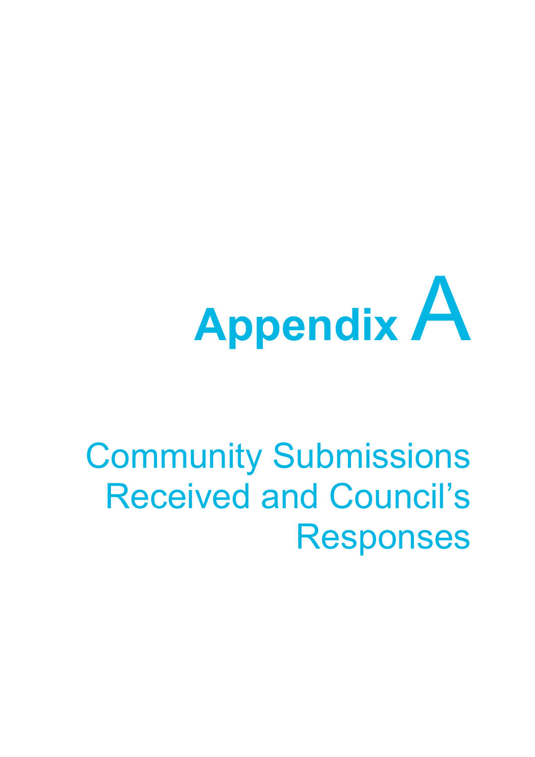# <span id="page-3-0"></span>**Appendix** A

## Community Submissions Received and Council's Responses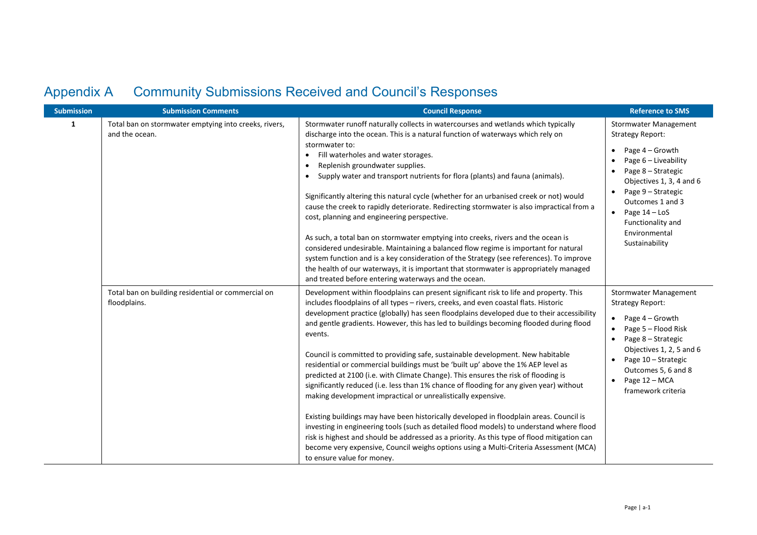### Appendix A Community Submissions Received and Council's Responses

| <b>Submission</b> | <b>Submission Comments</b>                                              | <b>Council Response</b>                                                                                                                                                                                                                                                                                                                                                                                                                                                                                                                                                                                                                                                                                                                                                                                                                                                                                                                                                                                                                                                                                                                                                                                              | <b>Reference to SMS</b>                                                                                                                                                                                                                                                                           |
|-------------------|-------------------------------------------------------------------------|----------------------------------------------------------------------------------------------------------------------------------------------------------------------------------------------------------------------------------------------------------------------------------------------------------------------------------------------------------------------------------------------------------------------------------------------------------------------------------------------------------------------------------------------------------------------------------------------------------------------------------------------------------------------------------------------------------------------------------------------------------------------------------------------------------------------------------------------------------------------------------------------------------------------------------------------------------------------------------------------------------------------------------------------------------------------------------------------------------------------------------------------------------------------------------------------------------------------|---------------------------------------------------------------------------------------------------------------------------------------------------------------------------------------------------------------------------------------------------------------------------------------------------|
| 1                 | Total ban on stormwater emptying into creeks, rivers,<br>and the ocean. | Stormwater runoff naturally collects in watercourses and wetlands which typically<br>discharge into the ocean. This is a natural function of waterways which rely on<br>stormwater to:<br>Fill waterholes and water storages.<br>Replenish groundwater supplies.<br>Supply water and transport nutrients for flora (plants) and fauna (animals).<br>Significantly altering this natural cycle (whether for an urbanised creek or not) would<br>cause the creek to rapidly deteriorate. Redirecting stormwater is also impractical from a<br>cost, planning and engineering perspective.<br>As such, a total ban on stormwater emptying into creeks, rivers and the ocean is<br>considered undesirable. Maintaining a balanced flow regime is important for natural<br>system function and is a key consideration of the Strategy (see references). To improve<br>the health of our waterways, it is important that stormwater is appropriately managed<br>and treated before entering waterways and the ocean.                                                                                                                                                                                                       | <b>Stormwater Management</b><br><b>Strategy Report:</b><br>Page 4 – Growth<br>Page 6 - Liveability<br>Page 8 - Strategic<br>Objectives 1, 3, 4 and 6<br>Page 9 - Strategic<br>$\bullet$<br>Outcomes 1 and 3<br>Page 14 - LoS<br>$\bullet$<br>Functionality and<br>Environmental<br>Sustainability |
|                   | Total ban on building residential or commercial on<br>floodplains.      | Development within floodplains can present significant risk to life and property. This<br>includes floodplains of all types - rivers, creeks, and even coastal flats. Historic<br>development practice (globally) has seen floodplains developed due to their accessibility<br>and gentle gradients. However, this has led to buildings becoming flooded during flood<br>events.<br>Council is committed to providing safe, sustainable development. New habitable<br>residential or commercial buildings must be 'built up' above the 1% AEP level as<br>predicted at 2100 (i.e. with Climate Change). This ensures the risk of flooding is<br>significantly reduced (i.e. less than 1% chance of flooding for any given year) without<br>making development impractical or unrealistically expensive.<br>Existing buildings may have been historically developed in floodplain areas. Council is<br>investing in engineering tools (such as detailed flood models) to understand where flood<br>risk is highest and should be addressed as a priority. As this type of flood mitigation can<br>become very expensive, Council weighs options using a Multi-Criteria Assessment (MCA)<br>to ensure value for money. | <b>Stormwater Management</b><br><b>Strategy Report:</b><br>Page 4 – Growth<br>$\bullet$<br>Page 5 - Flood Risk<br>Page 8 - Strategic<br>Objectives 1, 2, 5 and 6<br>Page 10 - Strategic<br>Outcomes 5, 6 and 8<br>Page 12 - MCA<br>$\bullet$<br>framework criteria                                |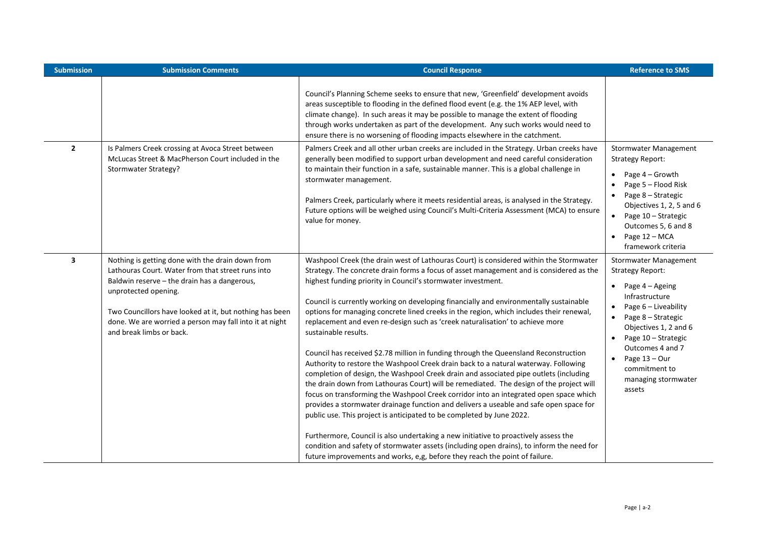| <b>Submission Comments</b>                                                                                                                                                                                                                                                                                                      | <b>Council Response</b>                                                                                                                                                                                                                                                                                                                                                                                                                                                                                                                                                                                                                                                                                                                                                                                                                                                                                                                                                                                                                                                                                                                                                                                                                                                                                                                                            | <b>Reference to SMS</b>                                                                                                                                                                                                                                                                                                               |
|---------------------------------------------------------------------------------------------------------------------------------------------------------------------------------------------------------------------------------------------------------------------------------------------------------------------------------|--------------------------------------------------------------------------------------------------------------------------------------------------------------------------------------------------------------------------------------------------------------------------------------------------------------------------------------------------------------------------------------------------------------------------------------------------------------------------------------------------------------------------------------------------------------------------------------------------------------------------------------------------------------------------------------------------------------------------------------------------------------------------------------------------------------------------------------------------------------------------------------------------------------------------------------------------------------------------------------------------------------------------------------------------------------------------------------------------------------------------------------------------------------------------------------------------------------------------------------------------------------------------------------------------------------------------------------------------------------------|---------------------------------------------------------------------------------------------------------------------------------------------------------------------------------------------------------------------------------------------------------------------------------------------------------------------------------------|
|                                                                                                                                                                                                                                                                                                                                 | Council's Planning Scheme seeks to ensure that new, 'Greenfield' development avoids<br>areas susceptible to flooding in the defined flood event (e.g. the 1% AEP level, with<br>climate change). In such areas it may be possible to manage the extent of flooding<br>through works undertaken as part of the development. Any such works would need to<br>ensure there is no worsening of flooding impacts elsewhere in the catchment.                                                                                                                                                                                                                                                                                                                                                                                                                                                                                                                                                                                                                                                                                                                                                                                                                                                                                                                            |                                                                                                                                                                                                                                                                                                                                       |
| Is Palmers Creek crossing at Avoca Street between<br>McLucas Street & MacPherson Court included in the<br><b>Stormwater Strategy?</b>                                                                                                                                                                                           | Palmers Creek and all other urban creeks are included in the Strategy. Urban creeks have<br>generally been modified to support urban development and need careful consideration<br>to maintain their function in a safe, sustainable manner. This is a global challenge in<br>stormwater management.<br>Palmers Creek, particularly where it meets residential areas, is analysed in the Strategy.<br>Future options will be weighed using Council's Multi-Criteria Assessment (MCA) to ensure<br>value for money.                                                                                                                                                                                                                                                                                                                                                                                                                                                                                                                                                                                                                                                                                                                                                                                                                                                 | <b>Stormwater Management</b><br><b>Strategy Report:</b><br>Page 4 – Growth<br>Page 5 - Flood Risk<br>Page 8 - Strategic<br>Objectives 1, 2, 5 and 6<br>Page 10 - Strategic<br>Outcomes 5, 6 and 8<br>Page 12 - MCA<br>framework criteria                                                                                              |
| Nothing is getting done with the drain down from<br>Lathouras Court. Water from that street runs into<br>Baldwin reserve – the drain has a dangerous,<br>unprotected opening.<br>Two Councillors have looked at it, but nothing has been<br>done. We are worried a person may fall into it at night<br>and break limbs or back. | Washpool Creek (the drain west of Lathouras Court) is considered within the Stormwater<br>Strategy. The concrete drain forms a focus of asset management and is considered as the<br>highest funding priority in Council's stormwater investment.<br>Council is currently working on developing financially and environmentally sustainable<br>options for managing concrete lined creeks in the region, which includes their renewal,<br>replacement and even re-design such as 'creek naturalisation' to achieve more<br>sustainable results.<br>Council has received \$2.78 million in funding through the Queensland Reconstruction<br>Authority to restore the Washpool Creek drain back to a natural waterway. Following<br>completion of design, the Washpool Creek drain and associated pipe outlets (including<br>the drain down from Lathouras Court) will be remediated. The design of the project will<br>focus on transforming the Washpool Creek corridor into an integrated open space which<br>provides a stormwater drainage function and delivers a useable and safe open space for<br>public use. This project is anticipated to be completed by June 2022.<br>Furthermore, Council is also undertaking a new initiative to proactively assess the<br>condition and safety of stormwater assets (including open drains), to inform the need for | <b>Stormwater Management</b><br><b>Strategy Report:</b><br>Page 4 – Ageing<br>$\bullet$<br>Infrastructure<br>Page 6 - Liveability<br>Page 8 - Strategic<br>$\bullet$<br>Objectives 1, 2 and 6<br>Page 10 - Strategic<br>$\bullet$<br>Outcomes 4 and 7<br>Page 13 - Our<br>$\bullet$<br>commitment to<br>managing stormwater<br>assets |
|                                                                                                                                                                                                                                                                                                                                 |                                                                                                                                                                                                                                                                                                                                                                                                                                                                                                                                                                                                                                                                                                                                                                                                                                                                                                                                                                                                                                                                                                                                                                                                                                                                                                                                                                    | future improvements and works, e,g, before they reach the point of failure.                                                                                                                                                                                                                                                           |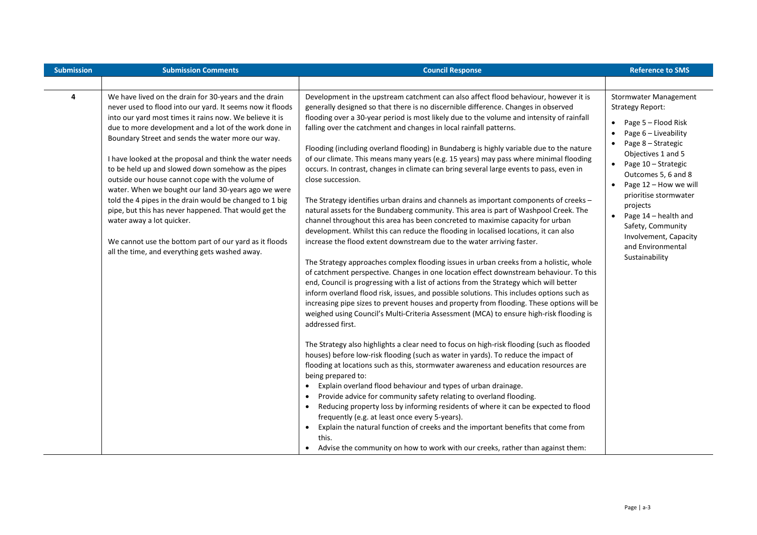| <b>Submission</b> | <b>Submission Comments</b>                                                                                                                                                                                                                                                                                                                                                                                                                                                                                                                                                                                                                                                                                                                                                           | <b>Council Response</b>                                                                                                                                                                                                                                                                                                                                                                                                                                                                                                                                                                                                                                                                                                                                                                                                                                                                                                                                                                                                                                                                                                                                                                                                                                                                                                                                                                                                                                                                                                                                                                                                                                                                                                                                                                                                                                                                                                                                                                                                                                                                                                                                                                                                                                                                                                                                                                                                                                                                             | <b>Reference to SMS</b>                                                                                                                                                                                                                                                                                                                                                                        |
|-------------------|--------------------------------------------------------------------------------------------------------------------------------------------------------------------------------------------------------------------------------------------------------------------------------------------------------------------------------------------------------------------------------------------------------------------------------------------------------------------------------------------------------------------------------------------------------------------------------------------------------------------------------------------------------------------------------------------------------------------------------------------------------------------------------------|-----------------------------------------------------------------------------------------------------------------------------------------------------------------------------------------------------------------------------------------------------------------------------------------------------------------------------------------------------------------------------------------------------------------------------------------------------------------------------------------------------------------------------------------------------------------------------------------------------------------------------------------------------------------------------------------------------------------------------------------------------------------------------------------------------------------------------------------------------------------------------------------------------------------------------------------------------------------------------------------------------------------------------------------------------------------------------------------------------------------------------------------------------------------------------------------------------------------------------------------------------------------------------------------------------------------------------------------------------------------------------------------------------------------------------------------------------------------------------------------------------------------------------------------------------------------------------------------------------------------------------------------------------------------------------------------------------------------------------------------------------------------------------------------------------------------------------------------------------------------------------------------------------------------------------------------------------------------------------------------------------------------------------------------------------------------------------------------------------------------------------------------------------------------------------------------------------------------------------------------------------------------------------------------------------------------------------------------------------------------------------------------------------------------------------------------------------------------------------------------------------|------------------------------------------------------------------------------------------------------------------------------------------------------------------------------------------------------------------------------------------------------------------------------------------------------------------------------------------------------------------------------------------------|
|                   |                                                                                                                                                                                                                                                                                                                                                                                                                                                                                                                                                                                                                                                                                                                                                                                      |                                                                                                                                                                                                                                                                                                                                                                                                                                                                                                                                                                                                                                                                                                                                                                                                                                                                                                                                                                                                                                                                                                                                                                                                                                                                                                                                                                                                                                                                                                                                                                                                                                                                                                                                                                                                                                                                                                                                                                                                                                                                                                                                                                                                                                                                                                                                                                                                                                                                                                     |                                                                                                                                                                                                                                                                                                                                                                                                |
| 4                 | We have lived on the drain for 30-years and the drain<br>never used to flood into our yard. It seems now it floods<br>into our yard most times it rains now. We believe it is<br>due to more development and a lot of the work done in<br>Boundary Street and sends the water more our way.<br>I have looked at the proposal and think the water needs<br>to be held up and slowed down somehow as the pipes<br>outside our house cannot cope with the volume of<br>water. When we bought our land 30-years ago we were<br>told the 4 pipes in the drain would be changed to 1 big<br>pipe, but this has never happened. That would get the<br>water away a lot quicker.<br>We cannot use the bottom part of our yard as it floods<br>all the time, and everything gets washed away. | Development in the upstream catchment can also affect flood behaviour, however it is<br>generally designed so that there is no discernible difference. Changes in observed<br>flooding over a 30-year period is most likely due to the volume and intensity of rainfall<br>falling over the catchment and changes in local rainfall patterns.<br>Flooding (including overland flooding) in Bundaberg is highly variable due to the nature<br>of our climate. This means many years (e.g. 15 years) may pass where minimal flooding<br>occurs. In contrast, changes in climate can bring several large events to pass, even in<br>close succession.<br>The Strategy identifies urban drains and channels as important components of creeks -<br>natural assets for the Bundaberg community. This area is part of Washpool Creek. The<br>channel throughout this area has been concreted to maximise capacity for urban<br>development. Whilst this can reduce the flooding in localised locations, it can also<br>increase the flood extent downstream due to the water arriving faster.<br>The Strategy approaches complex flooding issues in urban creeks from a holistic, whole<br>of catchment perspective. Changes in one location effect downstream behaviour. To this<br>end, Council is progressing with a list of actions from the Strategy which will better<br>inform overland flood risk, issues, and possible solutions. This includes options such as<br>increasing pipe sizes to prevent houses and property from flooding. These options will be<br>weighed using Council's Multi-Criteria Assessment (MCA) to ensure high-risk flooding is<br>addressed first.<br>The Strategy also highlights a clear need to focus on high-risk flooding (such as flooded<br>houses) before low-risk flooding (such as water in yards). To reduce the impact of<br>flooding at locations such as this, stormwater awareness and education resources are<br>being prepared to:<br>• Explain overland flood behaviour and types of urban drainage.<br>Provide advice for community safety relating to overland flooding.<br>$\bullet$<br>Reducing property loss by informing residents of where it can be expected to flood<br>$\bullet$<br>frequently (e.g. at least once every 5-years).<br>Explain the natural function of creeks and the important benefits that come from<br>$\bullet$<br>this.<br>Advise the community on how to work with our creeks, rather than against them:<br>$\bullet$ | Stormwater Management<br><b>Strategy Report:</b><br>Page 5 - Flood Risk<br>$\bullet$<br>Page 6 - Liveability<br>$\bullet$<br>Page 8 - Strategic<br>Objectives 1 and 5<br>Page 10 - Strategic<br>Outcomes 5, 6 and 8<br>Page 12 - How we will<br>prioritise stormwater<br>projects<br>Page 14 - health and<br>Safety, Community<br>Involvement, Capacity<br>and Environmental<br>Sustainability |

Ť